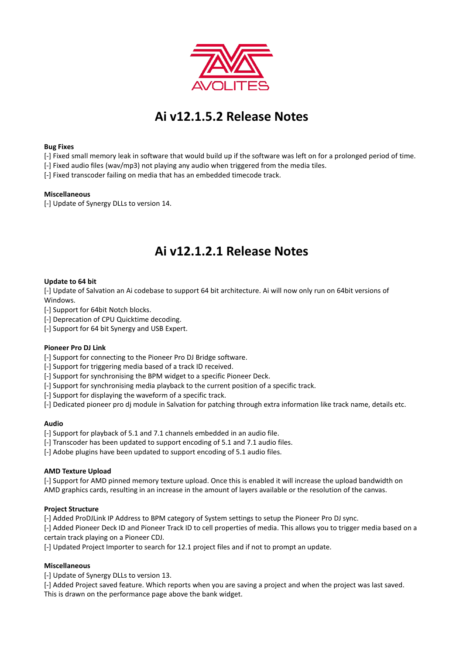

# **Ai v12.1.5.2 Release Notes**

## **Bug Fixes**

- [-] Fixed small memory leak in software that would build up if the software was left on for a prolonged period of time.
- [-] Fixed audio files (wav/mp3) not playing any audio when triggered from the media tiles.
- [-] Fixed transcoder failing on media that has an embedded timecode track.

## **Miscellaneous**

[-] Update of Synergy DLLs to version 14.

## **Ai v12.1.2.1 Release Notes**

## **Update to 64 bit**

[-] Update of Salvation an Ai codebase to support 64 bit architecture. Ai will now only run on 64bit versions of Windows.

[-] Support for 64bit Notch blocks.

- [-] Deprecation of CPU Quicktime decoding.
- [-] Support for 64 bit Synergy and USB Expert.

#### **Pioneer Pro DJ Link**

[-] Support for connecting to the Pioneer Pro DJ Bridge software.

[-] Support for triggering media based of a track ID received.

- [-] Support for synchronising the BPM widget to a specific Pioneer Deck.
- [-] Support for synchronising media playback to the current position of a specific track.
- [-] Support for displaying the waveform of a specific track.
- [-] Dedicated pioneer pro dj module in Salvation for patching through extra information like track name, details etc.

## **Audio**

- [-] Support for playback of 5.1 and 7.1 channels embedded in an audio file.
- [-] Transcoder has been updated to support encoding of 5.1 and 7.1 audio files.
- [-] Adobe plugins have been updated to support encoding of 5.1 audio files.

#### **AMD Texture Upload**

[-] Support for AMD pinned memory texture upload. Once this is enabled it will increase the upload bandwidth on AMD graphics cards, resulting in an increase in the amount of layers available or the resolution of the canvas.

## **Project Structure**

[-] Added ProDJLink IP Address to BPM category of System settings to setup the Pioneer Pro DJ sync.

[-] Added Pioneer Deck ID and Pioneer Track ID to cell properties of media. This allows you to trigger media based on a certain track playing on a Pioneer CDJ.

[-] Updated Project Importer to search for 12.1 project files and if not to prompt an update.

## **Miscellaneous**

[-] Update of Synergy DLLs to version 13.

[-] Added Project saved feature. Which reports when you are saving a project and when the project was last saved. This is drawn on the performance page above the bank widget.